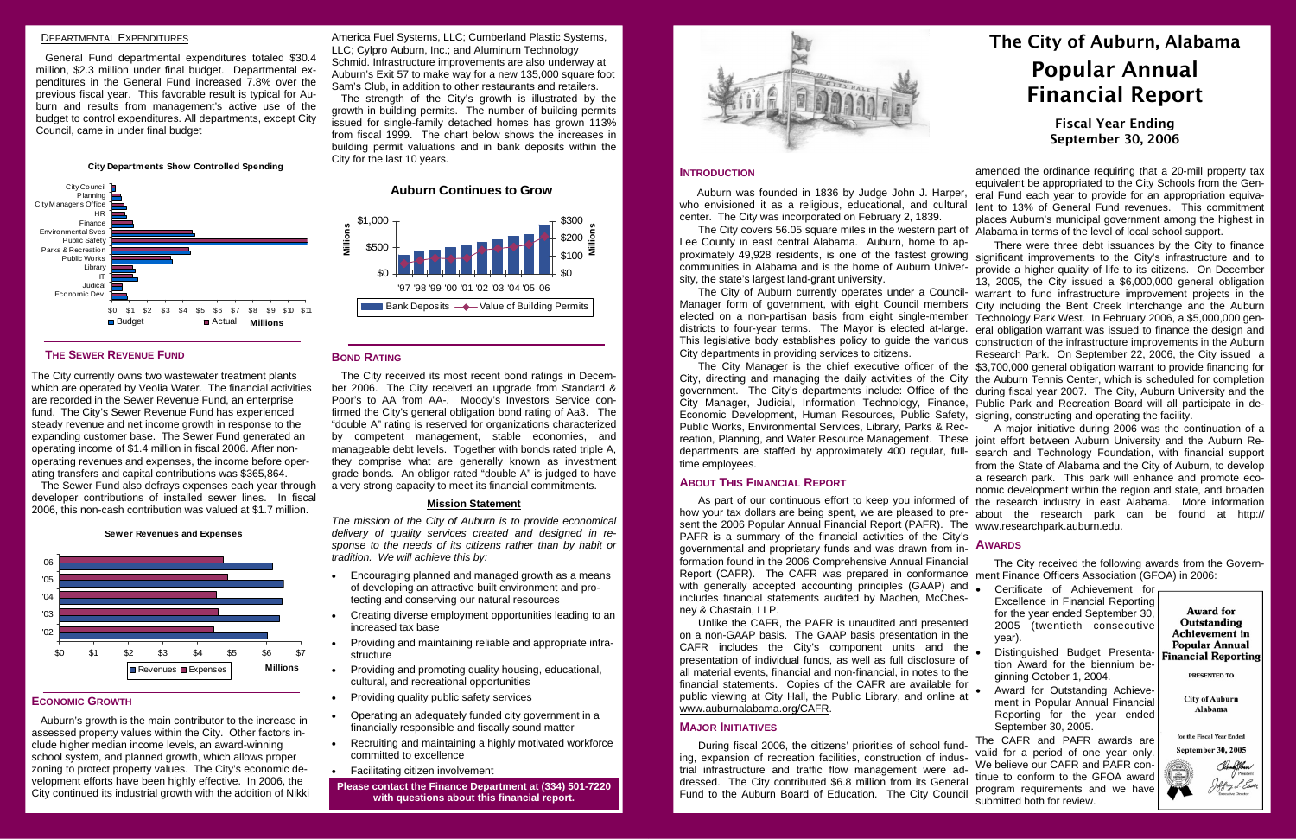### DEPARTMENTAL EXPENDITURES

General Fund departmental expenditures totaled \$30.4 million, \$2.3 million under final budget. Departmental expenditures in the General Fund increased 7.8% over the previous fiscal year. This favorable result is typical for Auburn and results from management's active use of the budget to control expenditures. All departments, except City Council, came in under final budget

### **THE SEWER REVENUE FUND**

The City currently owns two wastewater treatment plants which are operated by Veolia Water. The financial activities are recorded in the Sewer Revenue Fund, an enterprise fund. The City's Sewer Revenue Fund has experienced steady revenue and net income growth in response to the expanding customer base. The Sewer Fund generated an operating income of \$1.4 million in fiscal 2006. After nonoperating revenues and expenses, the income before operating transfers and capital contributions was \$365,864.

The Sewer Fund also defrays expenses each year through developer contributions of installed sewer lines. In fiscal 2006, this non-cash contribution was valued at \$1.7 million.

#### **ECONOMIC GROWTH**

 Auburn's growth is the main contributor to the increase in assessed property values within the City. Other factors include higher median income levels, an award-winning school system, and planned growth, which allows proper zoning to protect property values. The City's economic development efforts have been highly effective. In 2006, the City continued its industrial growth with the addition of Nikki America Fuel Systems, LLC; Cumberland Plastic Systems, LLC; Cylpro Auburn, Inc.; and Aluminum Technology Schmid. Infrastructure improvements are also underway at Auburn's Exit 57 to make way for a new 135,000 square foot Sam's Club, in addition to other restaurants and retailers.

The strength of the City's growth is illustrated by the growth in building permits. The number of building permits issued for single-family detached homes has grown 113% from fiscal 1999. The chart below shows the increases in building permit valuations and in bank deposits within the City for the last 10 years.

#### **BOND RATING**

The City covers 56.05 square miles in the western part of Alabama in terms of the level of local school support. Lee County in east central Alabama. Auburn, home to approximately 49,928 residents, is one of the fastest growing sity, the state's largest land-grant university. There were three debt issuances by the City to finance significant improvements to the City's infrastructure and to

The City received its most recent bond ratings in December 2006. The City received an upgrade from Standard & Poor's to AA from AA-. Moody's Investors Service confirmed the City's general obligation bond rating of Aa3. The "double A" rating is reserved for organizations characterized by competent management, stable economies, and manageable debt levels. Together with bonds rated triple A, they comprise what are generally known as investment grade bonds. An obligor rated "double A" is judged to have a very strong capacity to meet its financial commitments.

#### **Mission Statement**

**ABOUT THIS FINANCIAL REPORT**sent the 2006 Popular Annual Financial Report (PAFR). The www.researchpark.auburn.edu. PAFR is a summary of the financial activities of the City's governmental and proprietary funds and was drawn from in-**AWARDS** formation found in the 2006 Comprehensive Annual Financial Report (CAFR). The CAFR was prepared in conformance ment Finance Officers Association (GFOA) in 2006: with generally accepted accounting principles (GAAP) ar includes financial statements audited by Machen, McChe ney & Chastain, LLP. Unlike the CAFR, the PAFR is unaudited and presented

*The mission of the City of Auburn is to provide economical delivery of quality services created and designed in response to the needs of its citizens rather than by habit or tradition. We will achieve this by:* 

> on a non-GAAP basis. The GAAP basis presentation in the CAFR includes the City's component units and the presentation of individual funds, as well as full disclosure of all material events, financial and non-financial, in notes to the financial statements. Copies of the CAFR are available for public viewing at City Hall, the Public Library, and online at www.auburnalabama.org/CAFR.

- Encouraging planned and managed growth as a means of developing an attractive built environment and protecting and conserving our natural resources
- Creating diverse employment opportunities leading to an increased tax base
- Providing and maintaining reliable and appropriate infrastructure
- Providing and promoting quality housing, educational, cultural, and recreational opportunities
- Providing quality public safety services
- Operating an adequately funded city government in a financially responsible and fiscally sound matter
- Recruiting and maintaining a highly motivated workforce committed to excellence
- Facilitating citizen involvement
- **Please contact the Finance Department at (334) 501-7220 with questions about this financial report.**



who envisioned it as a religious, educational, and cultural <sub>lent to</sub> 13% of General Fund revenues. This commitment amended the ordinance requiring that a 20-mill property tax equivalent be appropriated to the City Schools from the General Fund each year to provide for an appropriation equivaplaces Auburn's municipal government among the highest in

**City Departments Show Controlled Spending**



**Sewer Revenues and Expenses**



#### **Auburn Continues to Grow**



# The City of Auburn, Alabama Popular Annual Financial Report

## Fiscal Year Ending September 30, 2006

#### **INTRODUCTION**

 Auburn was founded in 1836 by Judge John J. Harper, center. The City was incorporated on February 2, 1839.

time employees.

communities in Alabama and is the home of Auburn Univer-provide a higher quality of life to its citizens. On December The City of Auburn currently operates under a Council-Manager form of government, with eight Council members City including the Bent Creek Interchange and the Auburn elected on a non-partisan basis from eight single-member districts to four-year terms. The Mayor is elected at-large. This legislative body establishes policy to guide the various construction of the infrastructure improvements in the Auburn City departments in providing services to citizens. The City Manager is the chief executive officer of the \$3,700,000 general obligation warrant to provide financing for City, directing and managing the daily activities of the City the Auburn Tennis Center, which is scheduled for completion government. The City's departments include: Office of the during fiscal year 2007. The City, Auburn University and the City Manager, Judicial, Information Technology, Finance, Public Park and Recreation Board will all participate in de-Economic Development, Human Resources, Public Safety, signing, constructing and operating the facility. Public Works, Environmental Services, Library, Parks & Rec-13, 2005, the City issued a \$6,000,000 general obligation warrant to fund infrastructure improvement projects in the Technology Park West. In February 2006, a \$5,000,000 general obligation warrant was issued to finance the design and Research Park. On September 22, 2006, the City issued a A major initiative during 2006 was the continuation of a

#### **MAJOR INITIATIVES**

During fiscal 2006, the citizens' priorities of school funding, expansion of recreation facilities, construction of industrial infrastructure and traffic flow management were addressed. The City contributed \$6.8 million from its General Fund to the Auburn Board of Education. The City Council

reation, Planning, and Water Resource Management. These joint effort between Auburn University and the Auburn Redepartments are staffed by approximately 400 regular, full-search and Technology Foundation, with financial support As part of our continuous effort to keep you informed of the research industry in east Alabama. More information how your tax dollars are being spent, we are pleased to pre-about the research park can be found at http:// from the State of Alabama and the City of Auburn, to develop a research park. This park will enhance and promote economic development within the region and state, and broaden

The City received the following awards from the Govern-

| nd | Certificate of Achievement for    |
|----|-----------------------------------|
| S- | Excellence in Financial Reporting |
|    | for the year ended September 30,  |
| ed | 2005 (twentieth consecutive       |
| he | year).                            |

- Distinguished Budget Presentation Award for the biennium beginning October 1, 2004.
- Award for Outstanding Achievement in Popular Annual Financial Reporting for the year ended September 30, 2005.

The CAFR and PAFR awards are valid for a period of one year only. We believe our CAFR and PAFR continue to conform to the GFOA award program requirements and we have submitted both for review.

**Award for** Outstanding **Achievement** in **Popular Annual Financial Reporting** 

PRESENTED TO

**City of Auburn** Alabama

for the Fiscal Year Ended **September 30, 2005**